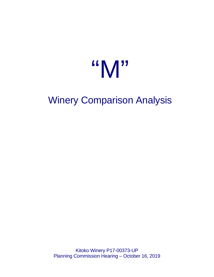# "M"

# Winery Comparison Analysis

Kitoko Winery P17-00373-UP Planning Commission Hearing – October 16, 2019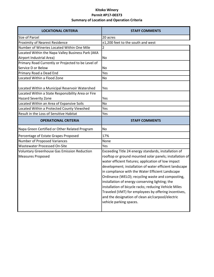## **Kitoko Winery Permit #P17-00373 Summary of Location and Operation Criteria**

| <b>LOCATIONAL CRITERIA</b>                                                                           | <b>STAFF COMMENTS</b>                                                                                                                                                                                                                                                                                                                                                                                                                                                                                                                                                                         |
|------------------------------------------------------------------------------------------------------|-----------------------------------------------------------------------------------------------------------------------------------------------------------------------------------------------------------------------------------------------------------------------------------------------------------------------------------------------------------------------------------------------------------------------------------------------------------------------------------------------------------------------------------------------------------------------------------------------|
| Size of Parcel                                                                                       | 20 acres                                                                                                                                                                                                                                                                                                                                                                                                                                                                                                                                                                                      |
| <b>Proximity of Nearest Residence</b>                                                                | ±1,200 feet to the south and west                                                                                                                                                                                                                                                                                                                                                                                                                                                                                                                                                             |
| Number of Wineries Located Within One Mile                                                           | 2                                                                                                                                                                                                                                                                                                                                                                                                                                                                                                                                                                                             |
| Located Within the Napa Valley Business Park (AKA                                                    |                                                                                                                                                                                                                                                                                                                                                                                                                                                                                                                                                                                               |
| Airport Industrial Area)                                                                             | No                                                                                                                                                                                                                                                                                                                                                                                                                                                                                                                                                                                            |
| Primary Road Currently or Projected to be Level of                                                   |                                                                                                                                                                                                                                                                                                                                                                                                                                                                                                                                                                                               |
| Service D or Below                                                                                   | No                                                                                                                                                                                                                                                                                                                                                                                                                                                                                                                                                                                            |
| Primary Road a Dead End                                                                              | Yes                                                                                                                                                                                                                                                                                                                                                                                                                                                                                                                                                                                           |
| Located Within a Flood Zone                                                                          | No                                                                                                                                                                                                                                                                                                                                                                                                                                                                                                                                                                                            |
| Located Within a Municipal Reservoir Watershed<br>Located Within a State Responsibility Area or Fire | Yes                                                                                                                                                                                                                                                                                                                                                                                                                                                                                                                                                                                           |
| <b>Hazard Severity Zone</b>                                                                          | Yes                                                                                                                                                                                                                                                                                                                                                                                                                                                                                                                                                                                           |
| Located Within an Area of Expansive Soils                                                            | <b>No</b>                                                                                                                                                                                                                                                                                                                                                                                                                                                                                                                                                                                     |
| Located Within a Protected County Viewshed                                                           | Yes                                                                                                                                                                                                                                                                                                                                                                                                                                                                                                                                                                                           |
| Result in the Loss of Sensitive Habitat                                                              | Yes                                                                                                                                                                                                                                                                                                                                                                                                                                                                                                                                                                                           |
| <b>OPERATIONAL CRITERIA</b>                                                                          | <b>STAFF COMMENTS</b>                                                                                                                                                                                                                                                                                                                                                                                                                                                                                                                                                                         |
| Napa Green Certified or Other Related Program                                                        | <b>No</b>                                                                                                                                                                                                                                                                                                                                                                                                                                                                                                                                                                                     |
| Percentage of Estate Grapes Proposed                                                                 | 17%                                                                                                                                                                                                                                                                                                                                                                                                                                                                                                                                                                                           |
| Number of Proposed Variances                                                                         | None                                                                                                                                                                                                                                                                                                                                                                                                                                                                                                                                                                                          |
| <b>Wastewater Processed On-Site</b>                                                                  | Yes                                                                                                                                                                                                                                                                                                                                                                                                                                                                                                                                                                                           |
| <b>Voluntary Greenhouse Gas Emission Reduction</b><br><b>Measures Proposed</b>                       | Exceeding Title 24 energy standards, installation of<br>rooftop or ground mounted solar panels; installation of<br>water efficient fixtures; application of low impact<br>development; installation of water efficient landscape<br>in compliance with the Water Efficient Landscape<br>Ordinance (WELO); recycling waste and composting,<br>installation of energy conserving lighting; the<br>installation of bicycle racks; reducing Vehicle Miles<br>Traveled (VMT) for employees by offering incentives,<br>and the designation of clean air/carpool/electric<br>vehicle parking spaces. |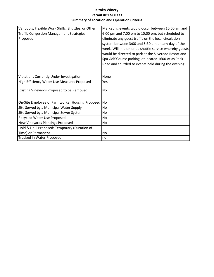## **Kitoko Winery Permit #P17-00373 Summary of Location and Operation Criteria**

| Vanpools, Flexible Work Shifts, Shuttles, or Other | Marketing events would occur between 10:00 am and     |
|----------------------------------------------------|-------------------------------------------------------|
|                                                    |                                                       |
| <b>Traffic Congestion Management Strategies</b>    | 6:00 pm and 7:00 pm to 10:00 pm, but scheduled to     |
| Proposed                                           | eliminate any guest traffic on the local circulation  |
|                                                    | system between 3:00 and 5:30 pm on any day of the     |
|                                                    | week. Will implement a shuttle service whereby guests |
|                                                    | would be directed to park at the Silverado Resort and |
|                                                    | Spa Golf Course parking lot located 1600 Atlas Peak   |
|                                                    | Road and shuttled to events held during the evening.  |
|                                                    |                                                       |
| Violations Currently Under Investigation           | None                                                  |
| High Efficiency Water Use Measures Proposed        | Yes                                                   |
| Existing Vineyards Proposed to be Removed          | No.                                                   |
|                                                    |                                                       |
| On-Site Employee or Farmworker Housing Proposed No |                                                       |
| Site Served by a Municipal Water Supply            | No.                                                   |
| Site Served by a Municipal Sewer System            | No                                                    |
| Recycled Water Use Proposed                        | No                                                    |
| New Vineyards Plantings Proposed                   | No.                                                   |
| Hold & Haul Proposed: Temporary (Duration of       |                                                       |
| Time) or Permanent                                 | No                                                    |
| Trucked in Water Proposed                          | no                                                    |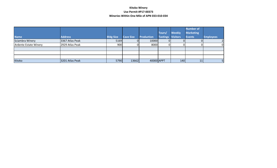#### **Kitoko Winery Use Permit #P17-00373 Wineries Within One Mile of APN 033-010-034**

|                       |                 |                  |                  |                   |                   |               | Number of        |                  |
|-----------------------|-----------------|------------------|------------------|-------------------|-------------------|---------------|------------------|------------------|
|                       |                 |                  |                  |                   | Tours/            | <b>Weekly</b> | <b>Marketing</b> |                  |
| <b>Name</b>           | <b>Address</b>  | <b>Bldg Size</b> | <b>Cave Size</b> | <b>Production</b> | Tastings Visitors |               | Events           | <b>Employees</b> |
| Sciambra Winery       | 3367 Atlas Peak | 5169             | ΟI               | 10000             | 01                |               |                  |                  |
| Ardente Estate Winery | 2929 Atlas Peak | 900              | ΩI               | 8000              |                   |               |                  | O                |
|                       |                 |                  |                  |                   |                   |               |                  |                  |
|                       |                 |                  |                  |                   |                   |               |                  |                  |
|                       |                 |                  |                  |                   |                   |               |                  |                  |
| Kitoko                | 3201 Atlas Peak | 5790             | 13662            | 40000 APPT        |                   | 140           | 11               |                  |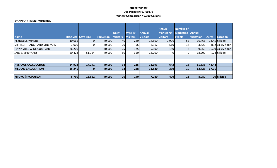#### **Kitoko Winery Use Permit #P17-00373 Winery Comparison 40,000 Gallons**

#### **BY APPOINTMENT WINERIES**

|                                |                            |        |                   |                 |                 |                 | <b>Annual</b>    | <b>Number of</b> |                   |              |                    |
|--------------------------------|----------------------------|--------|-------------------|-----------------|-----------------|-----------------|------------------|------------------|-------------------|--------------|--------------------|
|                                |                            |        |                   | <b>Daily</b>    | <b>Weekly</b>   | <b>Annual</b>   | <b>Marketing</b> | <b>Marketing</b> | <b>Annual</b>     |              |                    |
| <b>Name</b>                    | <b>Bldg Size Cave Size</b> |        | <b>Production</b> | <b>Visitors</b> | <b>Visitors</b> | <b>Visitors</b> | <b>Visitors</b>  | <b>Events</b>    | <b>Visitation</b> | <b>Acres</b> | <b>Location</b>    |
| <b>REYNOLDS WINERY</b>         | 10,066                     |        | 40,000            | 40              | 280             | 14,560          | 1,906            | 52               | 16,466            |              | 13.45 hillside     |
| SHIFFLETT RANCH AND VINEYARD   | 3,000                      |        | 40,000            | 20              | 56              | 2,912           | 510              | 14               | 3,422             |              | 46.2 valley floor  |
| <b>FLYNNVILLE WINE COMPANY</b> | 26,200                     |        | 40,000            | 25              | <b>175</b>      | 9,100           | 150              | ы                | 9,250             |              | 10.09 valley floor |
| <b>JARVIS VINEYARDS</b>        | 20,424                     | 51,724 | 40,000            | 50              | 350             | 18,200          |                  | ΩI               | 18,200            |              | 124 hillside       |
|                                |                            |        |                   |                 |                 |                 |                  |                  |                   |              |                    |
|                                |                            |        |                   |                 |                 |                 |                  |                  |                   |              |                    |
| <b>AVERAGE CALCULATION</b>     | 14,923                     | 17,241 | 40,000            | 34              | 215             | 11,193          | 642              | 18               | 11,835            | 48.44        |                    |
| <b>MEDIAN CALCULATION</b>      | 15,245                     |        | 40,000            | 33              | 228             | 11,830          | 330              | 10 <sup>1</sup>  | 13,725            | 67.05        |                    |
|                                |                            |        |                   |                 |                 |                 |                  |                  |                   |              |                    |
| <b>KITOKO (PROPOSED)</b>       | 5,790                      | 13,662 | 40,000            | 20              | <b>140</b>      | 7,280           | 400              | 11               | 8,080             |              | 20 hillside        |